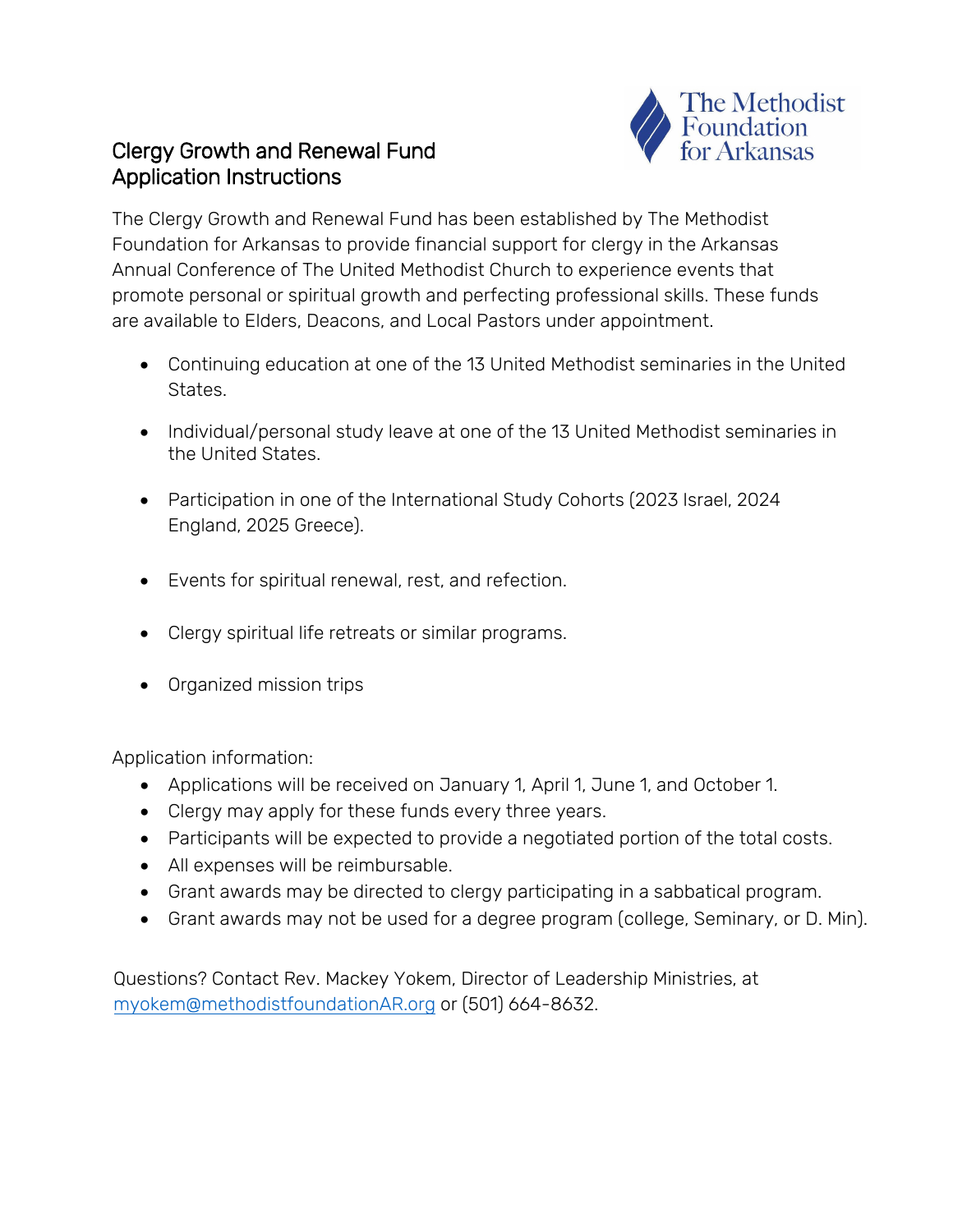# The Methodist<br>Foundation

## Clergy Growth and Renewal Fund Application Instructions

The Clergy Growth and Renewal Fund has been established by The Methodist Foundation for Arkansas to provide financial support for clergy in the Arkansas Annual Conference of The United Methodist Church to experience events that promote personal or spiritual growth and perfecting professional skills. These funds are available to Elders, Deacons, and Local Pastors under appointment.

- Continuing education at one of the 13 United Methodist seminaries in the United States.
- Individual/personal study leave at one of the 13 United Methodist seminaries in the United States.
- Participation in one of the International Study Cohorts (2023 Israel, 2024 England, 2025 Greece).
- Events for spiritual renewal, rest, and refection.
- Clergy spiritual life retreats or similar programs.
- Organized mission trips

Application information:

- Applications will be received on January 1, April 1, June 1, and October 1.
- Clergy may apply for these funds every three years.
- Participants will be expected to provide a negotiated portion of the total costs.
- All expenses will be reimbursable.
- Grant awards may be directed to clergy participating in a sabbatical program.
- Grant awards may not be used for a degree program (college, Seminary, or D. Min).

[Questions? Contact Rev. Mackey Yokem](mailto:myokem@methodistfoundationAR.org), Director of Leadership Ministries, at myokem@methodistfoundationAR.org or (501) 664-8632.